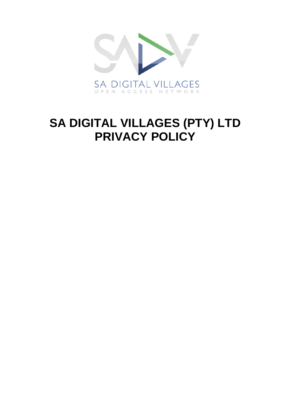

# **SA DIGITAL VILLAGES (PTY) LTD PRIVACY POLICY**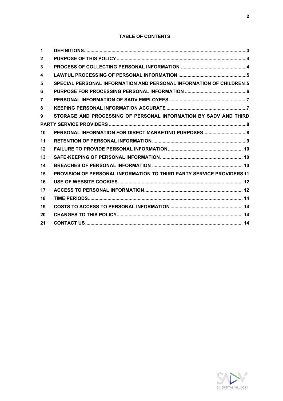# **TABLE OF CONTENTS**

| 1            |                                                                              |
|--------------|------------------------------------------------------------------------------|
| $\mathbf{2}$ |                                                                              |
| 3            |                                                                              |
| 4            |                                                                              |
| 5            | SPECIAL PERSONAL INFORMATION AND PERSONAL INFORMATION OF CHILDREN.5          |
| 6            |                                                                              |
| 7            |                                                                              |
| 8            |                                                                              |
| 9            | STORAGE AND PROCESSING OF PERSONAL INFORMATION BY SADV AND THIRD             |
|              |                                                                              |
| 10           |                                                                              |
| 11           |                                                                              |
| 12           |                                                                              |
| 13           |                                                                              |
| 14           |                                                                              |
| 15           | <b>PROVISION OF PERSONAL INFORMATION TO THIRD PARTY SERVICE PROVIDERS 11</b> |
| 16           |                                                                              |
| 17           |                                                                              |
| 18           |                                                                              |
| 19           |                                                                              |
| 20           |                                                                              |
| 21           |                                                                              |

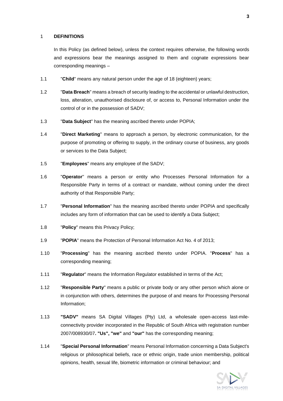#### 1 **DEFINITIONS**

In this Policy (as defined below), unless the context requires otherwise, the following words and expressions bear the meanings assigned to them and cognate expressions bear corresponding meanings –

- 1.1 "**Child**" means any natural person under the age of 18 (eighteen) years;
- 1.2 "**Data Breach**" means a breach of security leading to the accidental or unlawful destruction, loss, alteration, unauthorised disclosure of, or access to, Personal Information under the control of or in the possession of SADV;
- 1.3 "**Data Subject**" has the meaning ascribed thereto under POPIA;
- 1.4 "**Direct Marketing**" means to approach a person, by electronic communication, for the purpose of promoting or offering to supply, in the ordinary course of business, any goods or services to the Data Subject;
- 1.5 "**Employees**" means any employee of the SADV;
- 1.6 "**Operator**" means a person or entity who Processes Personal Information for a Responsible Party in terms of a contract or mandate, without coming under the direct authority of that Responsible Party;
- 1.7 "**Personal Information**" has the meaning ascribed thereto under POPIA and specifically includes any form of information that can be used to identify a Data Subject;
- 1.8 "**Policy**" means this Privacy Policy;
- 1.9 "**POPIA**" means the Protection of Personal Information Act No. 4 of 2013;
- 1.10 "**Processing**" has the meaning ascribed thereto under POPIA. "**Process**" has a corresponding meaning;
- 1.11 "**Regulator**" means the Information Regulator established in terms of the Act;
- 1.12 "**Responsible Party**" means a public or private body or any other person which alone or in conjunction with others, determines the purpose of and means for Processing Personal Information;
- 1.13 **"SADV"** means SA Digital Villages (Pty) Ltd, a wholesale open-access last-mileconnectivity provider incorporated in the Republic of South Africa with registration number 2007/008930/07**. "Us", "we"** and **"our"** has the corresponding meaning;
- 1.14 "**Special Personal Information**" means Personal Information concerning a Data Subject's religious or philosophical beliefs, race or ethnic origin, trade union membership, political opinions, health, sexual life, biometric information or criminal behaviour; and

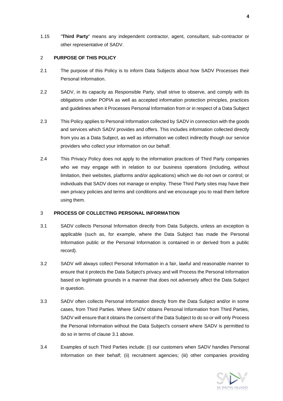1.15 "**Third Party**" means any independent contractor, agent, consultant, sub-contractor or other representative of SADV.

#### 2 **PURPOSE OF THIS POLICY**

- 2.1 The purpose of this Policy is to inform Data Subjects about how SADV Processes their Personal Information.
- 2.2 SADV, in its capacity as Responsible Party, shall strive to observe, and comply with its obligations under POPIA as well as accepted information protection principles, practices and guidelines when it Processes Personal Information from or in respect of a Data Subject
- 2.3 This Policy applies to Personal Information collected by SADV in connection with the goods and services which SADV provides and offers. This includes information collected directly from you as a Data Subject, as well as information we collect indirectly though our service providers who collect your information on our behalf.
- 2.4 This Privacy Policy does not apply to the information practices of Third Party companies who we may engage with in relation to our business operations (including, without limitation, their websites, platforms and/or applications) which we do not own or control; or individuals that SADV does not manage or employ. These Third Party sites may have their own privacy policies and terms and conditions and we encourage you to read them before using them.

#### 3 **PROCESS OF COLLECTING PERSONAL INFORMATION**

- <span id="page-3-0"></span>3.1 SADV collects Personal Information directly from Data Subjects, unless an exception is applicable (such as, for example, where the Data Subject has made the Personal Information public or the Personal Information is contained in or derived from a public record).
- 3.2 SADV will always collect Personal Information in a fair, lawful and reasonable manner to ensure that it protects the Data Subject's privacy and will Process the Personal Information based on legitimate grounds in a manner that does not adversely affect the Data Subject in question.
- 3.3 SADV often collects Personal Information directly from the Data Subject and/or in some cases, from Third Parties. Where SADV obtains Personal Information from Third Parties, SADV will ensure that it obtains the consent of the Data Subject to do so or will only Process the Personal Information without the Data Subject's consent where SADV is permitted to do so in terms of clause [3.1](#page-3-0) above.
- 3.4 Examples of such Third Parties include: (i) our customers when SADV handles Personal Information on their behalf; (ii) recruitment agencies; (iii) other companies providing

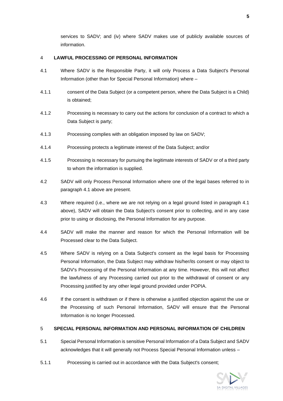services to SADV; and (iv) where SADV makes use of publicly available sources of information.

#### 4 **LAWFUL PROCESSING OF PERSONAL INFORMATION**

- <span id="page-4-0"></span>4.1 Where SADV is the Responsible Party, it will only Process a Data Subject's Personal Information (other than for Special Personal Information) where –
- 4.1.1 consent of the Data Subject (or a competent person, where the Data Subject is a Child) is obtained;
- 4.1.2 Processing is necessary to carry out the actions for conclusion of a contract to which a Data Subject is party;
- 4.1.3 Processing complies with an obligation imposed by law on SADV;
- 4.1.4 Processing protects a legitimate interest of the Data Subject; and/or
- 4.1.5 Processing is necessary for pursuing the legitimate interests of SADV or of a third party to whom the information is supplied.
- 4.2 SADV will only Process Personal Information where one of the legal bases referred to in paragraph [4.1](#page-4-0) above are present.
- 4.3 Where required (i.e., where we are not relying on a legal ground listed in paragraph [4.1](#page-4-0) above), SADV will obtain the Data Subject's consent prior to collecting, and in any case prior to using or disclosing, the Personal Information for any purpose.
- 4.4 SADV will make the manner and reason for which the Personal Information will be Processed clear to the Data Subject.
- 4.5 Where SADV is relying on a Data Subject's consent as the legal basis for Processing Personal Information, the Data Subject may withdraw his/her/its consent or may object to SADV's Processing of the Personal Information at any time. However, this will not affect the lawfulness of any Processing carried out prior to the withdrawal of consent or any Processing justified by any other legal ground provided under POPIA.
- 4.6 If the consent is withdrawn or if there is otherwise a justified objection against the use or the Processing of such Personal Information, SADV will ensure that the Personal Information is no longer Processed.

#### 5 **SPECIAL PERSONAL INFORMATION AND PERSONAL INFORMATION OF CHILDREN**

- 5.1 Special Personal Information is sensitive Personal Information of a Data Subject and SADV acknowledges that it will generally not Process Special Personal Information unless –
- 5.1.1 Processing is carried out in accordance with the Data Subject's consent;

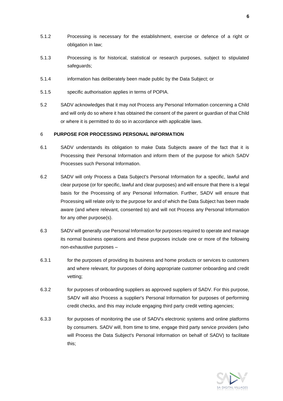- 5.1.2 Processing is necessary for the establishment, exercise or defence of a right or obligation in law;
- 5.1.3 Processing is for historical, statistical or research purposes, subject to stipulated safeguards;
- 5.1.4 information has deliberately been made public by the Data Subject; or
- 5.1.5 specific authorisation applies in terms of POPIA.
- 5.2 SADV acknowledges that it may not Process any Personal Information concerning a Child and will only do so where it has obtained the consent of the parent or guardian of that Child or where it is permitted to do so in accordance with applicable laws.

#### 6 **PURPOSE FOR PROCESSING PERSONAL INFORMATION**

- 6.1 SADV understands its obligation to make Data Subjects aware of the fact that it is Processing their Personal Information and inform them of the purpose for which SADV Processes such Personal Information.
- 6.2 SADV will only Process a Data Subject's Personal Information for a specific, lawful and clear purpose (or for specific, lawful and clear purposes) and will ensure that there is a legal basis for the Processing of any Personal Information. Further, SADV will ensure that Processing will relate only to the purpose for and of which the Data Subject has been made aware (and where relevant, consented to) and will not Process any Personal Information for any other purpose(s).
- <span id="page-5-0"></span>6.3 SADV will generally use Personal Information for purposes required to operate and manage its normal business operations and these purposes include one or more of the following non-exhaustive purposes –
- 6.3.1 for the purposes of providing its business and home products or services to customers and where relevant, for purposes of doing appropriate customer onboarding and credit vetting;
- 6.3.2 for purposes of onboarding suppliers as approved suppliers of SADV. For this purpose, SADV will also Process a supplier's Personal Information for purposes of performing credit checks, and this may include engaging third party credit vetting agencies;
- 6.3.3 for purposes of monitoring the use of SADV's electronic systems and online platforms by consumers. SADV will, from time to time, engage third party service providers (who will Process the Data Subject's Personal Information on behalf of SADV) to facilitate this;

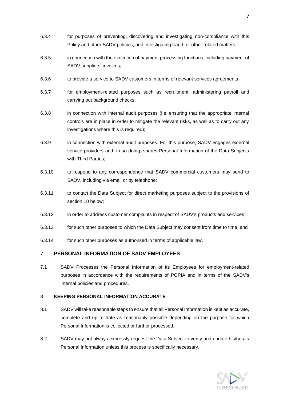- 6.3.4 for purposes of preventing, discovering and investigating non-compliance with this Policy and other SADV policies, and investigating fraud, or other related matters;
- 6.3.5 in connection with the execution of payment processing functions, including payment of SADV suppliers' invoices;
- 6.3.6 to provide a service to SADV customers in terms of relevant services agreements;
- 6.3.7 for employment-related purposes such as recruitment, administering payroll and carrying out background checks;
- 6.3.8 in connection with internal audit purposes (i.e. ensuring that the appropriate internal controls are in place in order to mitigate the relevant risks, as well as to carry out any investigations where this is required):
- 6.3.9 in connection with external audit purposes. For this purpose, SADV engages external service providers and, in so doing, shares Personal Information of the Data Subjects with Third Parties:
- 6.3.10 to respond to any correspondence that SADV commercial customers may send to SADV, including via email or by telephone;
- 6.3.11 to contact the Data Subject for direct marketing purposes subject to the provisions of section [10](#page-7-0) below;
- 6.3.12 in order to address customer complaints in respect of SADV's products and services;
- 6.3.13 for such other purposes to which the Data Subject may consent from time to time; and
- 6.3.14 for such other purposes as authorised in terms of applicable law.

# 7 **PERSONAL INFORMATION OF SADV EMPLOYEES**

7.1 SADV Processes the Personal Information of its Employees for employment-related purposes in accordance with the requirements of POPIA and in terms of the SADV's internal policies and procedures.

#### 8 **KEEPING PERSONAL INFORMATION ACCURATE**

- 8.1 SADV will take reasonable steps to ensure that all Personal Information is kept as accurate, complete and up to date as reasonably possible depending on the purpose for which Personal Information is collected or further processed.
- 8.2 SADV may not always expressly request the Data Subject to verify and update his/her/its Personal Information unless this process is specifically necessary.

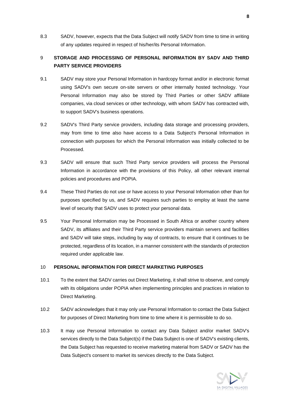8.3 SADV, however, expects that the Data Subject will notify SADV from time to time in writing of any updates required in respect of his/her/its Personal Information.

# 9 **STORAGE AND PROCESSING OF PERSONAL INFORMATION BY SADV AND THIRD PARTY SERVICE PROVIDERS**

- 9.1 SADV may store your Personal Information in hardcopy format and/or in electronic format using SADV's own secure on-site servers or other internally hosted technology. Your Personal Information may also be stored by Third Parties or other SADV affiliate companies, via cloud services or other technology, with whom SADV has contracted with, to support SADV's business operations.
- 9.2 SADV's Third Party service providers, including data storage and processing providers, may from time to time also have access to a Data Subject's Personal Information in connection with purposes for which the Personal Information was initially collected to be Processed.
- 9.3 SADV will ensure that such Third Party service providers will process the Personal Information in accordance with the provisions of this Policy, all other relevant internal policies and procedures and POPIA.
- 9.4 These Third Parties do not use or have access to your Personal Information other than for purposes specified by us, and SADV requires such parties to employ at least the same level of security that SADV uses to protect your personal data.
- 9.5 Your Personal Information may be Processed in South Africa or another country where SADV, its affiliates and their Third Party service providers maintain servers and facilities and SADV will take steps, including by way of contracts, to ensure that it continues to be protected, regardless of its location, in a manner consistent with the standards of protection required under applicable law.

#### <span id="page-7-0"></span>10 **PERSONAL INFORMATION FOR DIRECT MARKETING PURPOSES**

- 10.1 To the extent that SADV carries out Direct Marketing, it shall strive to observe, and comply with its obligations under POPIA when implementing principles and practices in relation to Direct Marketing.
- 10.2 SADV acknowledges that it may only use Personal Information to contact the Data Subject for purposes of Direct Marketing from time to time where it is permissible to do so.
- 10.3 It may use Personal Information to contact any Data Subject and/or market SADV's services directly to the Data Subject(s) if the Data Subject is one of SADV's existing clients, the Data Subject has requested to receive marketing material from SADV or SADV has the Data Subject's consent to market its services directly to the Data Subject.

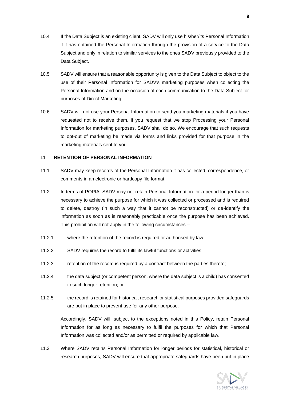- 10.4 If the Data Subject is an existing client, SADV will only use his/her/its Personal Information if it has obtained the Personal Information through the provision of a service to the Data Subject and only in relation to similar services to the ones SADV previously provided to the Data Subject.
- 10.5 SADV will ensure that a reasonable opportunity is given to the Data Subject to object to the use of their Personal Information for SADV's marketing purposes when collecting the Personal Information and on the occasion of each communication to the Data Subject for purposes of Direct Marketing.
- 10.6 SADV will not use your Personal Information to send you marketing materials if you have requested not to receive them. If you request that we stop Processing your Personal Information for marketing purposes, SADV shall do so. We encourage that such requests to opt-out of marketing be made via forms and links provided for that purpose in the marketing materials sent to you.

#### 11 **RETENTION OF PERSONAL INFORMATION**

- 11.1 SADV may keep records of the Personal Information it has collected, correspondence, or comments in an electronic or hardcopy file format.
- 11.2 In terms of POPIA, SADV may not retain Personal Information for a period longer than is necessary to achieve the purpose for which it was collected or processed and is required to delete, destroy (in such a way that it cannot be reconstructed) or de-identify the information as soon as is reasonably practicable once the purpose has been achieved. This prohibition will not apply in the following circumstances –
- 11.2.1 where the retention of the record is required or authorised by law;
- 11.2.2 SADV requires the record to fulfil its lawful functions or activities;
- 11.2.3 retention of the record is required by a contract between the parties thereto;
- 11.2.4 the data subject (or competent person, where the data subject is a child) has consented to such longer retention; or
- 11.2.5 the record is retained for historical, research or statistical purposes provided safeguards are put in place to prevent use for any other purpose.

Accordingly, SADV will, subject to the exceptions noted in this Policy, retain Personal Information for as long as necessary to fulfil the purposes for which that Personal Information was collected and/or as permitted or required by applicable law.

11.3 Where SADV retains Personal Information for longer periods for statistical, historical or research purposes, SADV will ensure that appropriate safeguards have been put in place

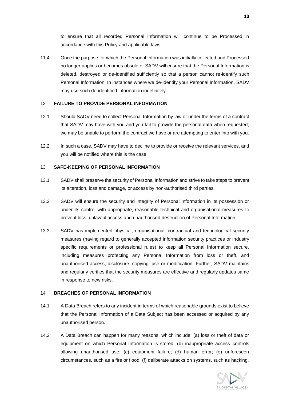to ensure that all recorded Personal Information will continue to be Processed in accordance with this Policy and applicable laws.

11.4 Once the purpose for which the Personal Information was initially collected and Processed no longer applies or becomes obsolete, SADV will ensure that the Personal Information is deleted, destroyed or de-identified sufficiently so that a person cannot re-identify such Personal Information. In instances where we de-identify your Personal Information, SADV may use such de-identified information indefinitely.

#### 12 **FAILURE TO PROVIDE PERSONAL INFORMATION**

- 12.1 Should SADV need to collect Personal Information by law or under the terms of a contract that SADV may have with you and you fail to provide the personal data when requested, we may be unable to perform the contract we have or are attempting to enter into with you.
- 12.2 In such a case, SADV may have to decline to provide or receive the relevant services, and you will be notified where this is the case.

#### 13 **SAFE-KEEPING OF PERSONAL INFORMATION**

- 13.1 SADV shall preserve the security of Personal Information and strive to take steps to prevent its alteration, loss and damage, or access by non-authorised third parties.
- 13.2 SADV will ensure the security and integrity of Personal Information in its possession or under its control with appropriate, reasonable technical and organisational measures to prevent loss, unlawful access and unauthorised destruction of Personal Information.
- 13.3 SADV has implemented physical, organisational, contractual and technological security measures (having regard to generally accepted information security practices or industry specific requirements or professional rules) to keep all Personal Information secure, including measures protecting any Personal Information from loss or theft, and unauthorised access, disclosure, copying, use or modification. Further, SADV maintains and regularly verifies that the security measures are effective and regularly updates same in response to new risks.

#### 14 **BREACHES OF PERSONAL INFORMATION**

- 14.1 A Data Breach refers to any incident in terms of which reasonable grounds exist to believe that the Personal Information of a Data Subject has been accessed or acquired by any unauthorised person.
- 14.2 A Data Breach can happen for many reasons, which include: (a) loss or theft of data or equipment on which Personal Information is stored; (b) inappropriate access controls allowing unauthorised use; (c) equipment failure; (d) human error; (e) unforeseen circumstances, such as a fire or flood; (f) deliberate attacks on systems, such as hacking,

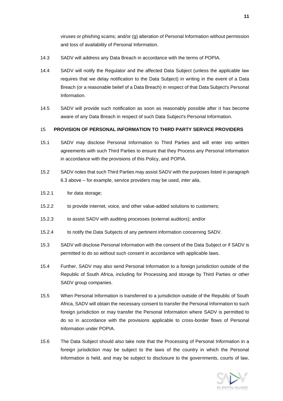viruses or phishing scams; and/or (g) alteration of Personal Information without permission and loss of availability of Personal Information.

- 14.3 SADV will address any Data Breach in accordance with the terms of POPIA.
- 14.4 SADV will notify the Regulator and the affected Data Subject (unless the applicable law requires that we delay notification to the Data Subject) in writing in the event of a Data Breach (or a reasonable belief of a Data Breach) in respect of that Data Subject's Personal Information.
- 14.5 SADV will provide such notification as soon as reasonably possible after it has become aware of any Data Breach in respect of such Data Subject's Personal Information.

#### 15 **PROVISION OF PERSONAL INFORMATION TO THIRD PARTY SERVICE PROVIDERS**

- 15.1 SADV may disclose Personal Information to Third Parties and will enter into written agreements with such Third Parties to ensure that they Process any Personal Information in accordance with the provisions of this Policy, and POPIA.
- 15.2 SADV notes that such Third Parties may assist SADV with the purposes listed in paragraph [6.3](#page-5-0) above – for example, service providers may be used, *inter alia*,
- 15.2.1 for data storage;
- 15.2.2 to provide internet, voice, and other value-added solutions to customers;
- 15.2.3 to assist SADV with auditing processes (external auditors); and/or
- 15.2.4 to notify the Data Subjects of any pertinent information concerning SADV.
- 15.3 SADV will disclose Personal Information with the consent of the Data Subject or if SADV is permitted to do so without such consent in accordance with applicable laws.
- 15.4 Further, SADV may also send Personal Information to a foreign jurisdiction outside of the Republic of South Africa, including for Processing and storage by Third Parties or other SADV group companies.
- 15.5 When Personal Information is transferred to a jurisdiction outside of the Republic of South Africa, SADV will obtain the necessary consent to transfer the Personal Information to such foreign jurisdiction or may transfer the Personal Information where SADV is permitted to do so in accordance with the provisions applicable to cross-border flows of Personal Information under POPIA.
- 15.6 The Data Subject should also take note that the Processing of Personal Information in a foreign jurisdiction may be subject to the laws of the country in which the Personal Information is held, and may be subject to disclosure to the governments, courts of law,

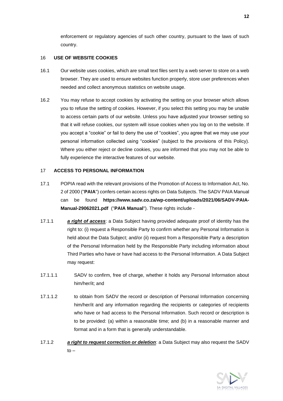enforcement or regulatory agencies of such other country, pursuant to the laws of such country.

#### 16 **USE OF WEBSITE COOKIES**

- 16.1 Our website uses cookies, which are small text files sent by a web server to store on a web browser. They are used to ensure websites function properly, store user preferences when needed and collect anonymous statistics on website usage.
- 16.2 You may refuse to accept cookies by activating the setting on your browser which allows you to refuse the setting of cookies. However, if you select this setting you may be unable to access certain parts of our website. Unless you have adjusted your browser setting so that it will refuse cookies, our system will issue cookies when you log on to the website. If you accept a "cookie" or fail to deny the use of "cookies", you agree that we may use your personal information collected using "cookies" (subject to the provisions of this Policy). Where you either reject or decline cookies, you are informed that you may not be able to fully experience the interactive features of our website.

#### 17 **ACCESS TO PERSONAL INFORMATION**

- 17.1 POPIA read with the relevant provisions of the Promotion of Access to Information Act, No. 2 of 2000 ("**PAIA**") confers certain access rights on Data Subjects. The SADV PAIA Manual can be found **[https://www.sadv.co.za/wp-content/uploads/2021/06/SADV-PAIA-](https://www.sadv.co.za/wp-content/uploads/2021/06/SADV-PAIA-Manual-29062021.pdf)[Manual-29062021.pdf](https://www.sadv.co.za/wp-content/uploads/2021/06/SADV-PAIA-Manual-29062021.pdf)** ("**PAIA Manual**"). These rights include -
- 17.1.1 *a right of access*: a Data Subject having provided adequate proof of identity has the right to: (i) request a Responsible Party to confirm whether any Personal Information is held about the Data Subject; and/or (ii) request from a Responsible Party a description of the Personal Information held by the Responsible Party including information about Third Parties who have or have had access to the Personal Information. A Data Subject may request:
- 17.1.1.1 SADV to confirm, free of charge, whether it holds any Personal Information about him/her/it; and
- 17.1.1.2 to obtain from SADV the record or description of Personal Information concerning him/her/it and any information regarding the recipients or categories of recipients who have or had access to the Personal Information. Such record or description is to be provided: (a) within a reasonable time; and (b) in a reasonable manner and format and in a form that is generally understandable.
- 17.1.2 *a right to request correction or deletion*: a Data Subject may also request the SADV  $to -$

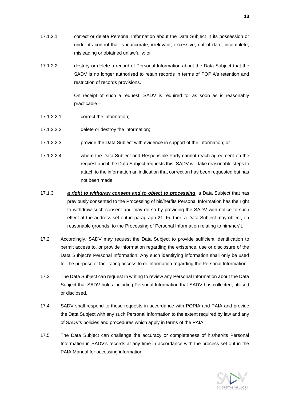- 17.1.2.1 correct or delete Personal Information about the Data Subject in its possession or under its control that is inaccurate, irrelevant, excessive, out of date, incomplete, misleading or obtained unlawfully; or
- 17.1.2.2 destroy or delete a record of Personal Information about the Data Subject that the SADV is no longer authorised to retain records in terms of POPIA's retention and restriction of records provisions.

On receipt of such a request, SADV is required to, as soon as is reasonably practicable –

- 17.1.2.2.1 correct the information;
- 17.1.2.2.2 delete or destroy the information;
- 17.1.2.2.3 provide the Data Subject with evidence in support of the information; or
- 17.1.2.2.4 where the Data Subject and Responsible Party cannot reach agreement on the request and if the Data Subject requests this, SADV will take reasonable steps to attach to the information an indication that correction has been requested but has not been made;
- 17.1.3 *a right to withdraw consent and to object to processing*: a Data Subject that has previously consented to the Processing of his/her/its Personal Information has the right to withdraw such consent and may do so by providing the SADV with notice to such effect at the address set out in paragraph [21.](#page-13-0) Further, a Data Subject may object, on reasonable grounds, to the Processing of Personal Information relating to him/her/it.
- 17.2 Accordingly, SADV may request the Data Subject to provide sufficient identification to permit access to, or provide information regarding the existence, use or disclosure of the Data Subject's Personal Information. Any such identifying information shall only be used for the purpose of facilitating access to or information regarding the Personal Information.
- 17.3 The Data Subject can request in writing to review any Personal Information about the Data Subject that SADV holds including Personal Information that SADV has collected, utilised or disclosed.
- 17.4 SADV shall respond to these requests in accordance with POPIA and PAIA and provide the Data Subject with any such Personal Information to the extent required by law and any of SADV's policies and procedures which apply in terms of the PAIA.
- 17.5 The Data Subject can challenge the accuracy or completeness of his/her/its Personal Information in SADV's records at any time in accordance with the process set out in the PAIA Manual for accessing information.

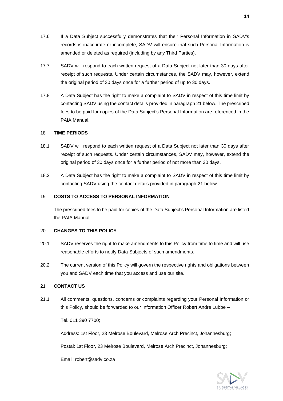- 17.6 If a Data Subject successfully demonstrates that their Personal Information in SADV's records is inaccurate or incomplete, SADV will ensure that such Personal Information is amended or deleted as required (including by any Third Parties).
- 17.7 SADV will respond to each written request of a Data Subject not later than 30 days after receipt of such requests. Under certain circumstances, the SADV may, however, extend the original period of 30 days once for a further period of up to 30 days.
- 17.8 A Data Subject has the right to make a complaint to SADV in respect of this time limit by contacting SADV using the contact details provided in paragraph [21](#page-13-0) below. The prescribed fees to be paid for copies of the Data Subject's Personal Information are referenced in the PAIA Manual.

# 18 **TIME PERIODS**

- 18.1 SADV will respond to each written request of a Data Subject not later than 30 days after receipt of such requests. Under certain circumstances, SADV may, however, extend the original period of 30 days once for a further period of not more than 30 days.
- 18.2 A Data Subject has the right to make a complaint to SADV in respect of this time limit by contacting SADV using the contact details provided in paragraph [21](#page-13-0) below.

### 19 **COSTS TO ACCESS TO PERSONAL INFORMATION**

The prescribed fees to be paid for copies of the Data Subject's Personal Information are listed the PAIA Manual.

#### 20 **CHANGES TO THIS POLICY**

- 20.1 SADV reserves the right to make amendments to this Policy from time to time and will use reasonable efforts to notify Data Subjects of such amendments.
- 20.2 The current version of this Policy will govern the respective rights and obligations between you and SADV each time that you access and use our site.

#### <span id="page-13-0"></span>21 **CONTACT US**

21.1 All comments, questions, concerns or complaints regarding your Personal Information or this Policy, should be forwarded to our Information Officer Robert Andre Lubbe –

Tel. 011 390 7700;

Address: 1st Floor, 23 Melrose Boulevard, Melrose Arch Precinct, Johannesburg;

Postal: 1st Floor, 23 Melrose Boulevard, Melrose Arch Precinct, Johannesburg;

Email: robert@sadv.co.za